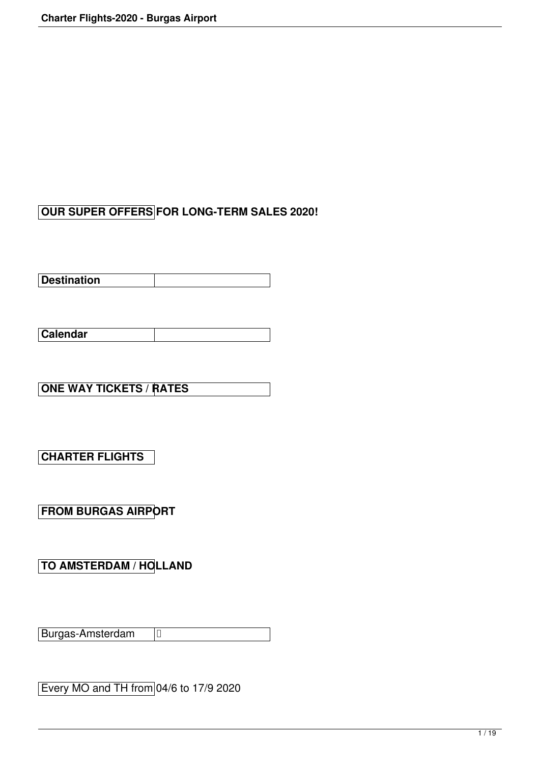#### **OUR SUPER OFFERS FOR LONG-TERM SALES 2020!**

**Destination** 

**Calendar**

**ONE WAY TICKETS / RATES**

**CHARTER FLIGHTS**

**FROM BURGAS AIRPORT**

**TO AMSTERDAM / HOLLAND**

Burgas-Amsterdam 

Every MO and TH from 04/6 to 17/9 2020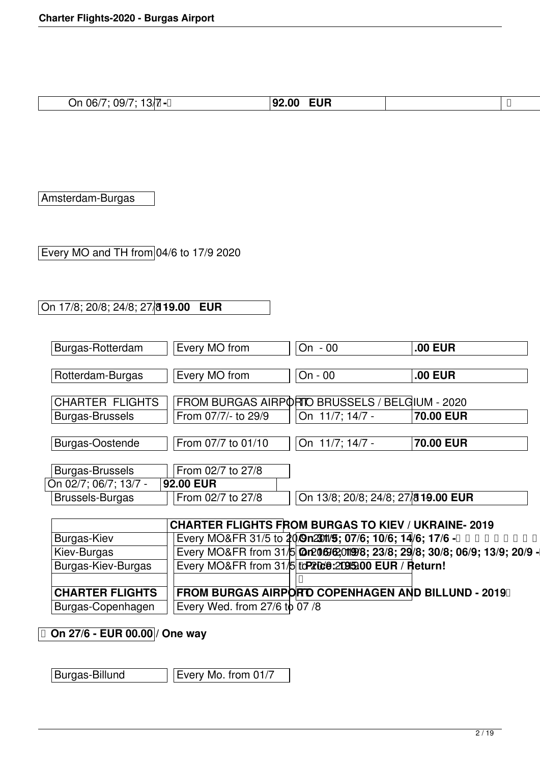| On 06/7; 09/7; 13/7 - | 92.00 | <b>EUR</b> |  |
|-----------------------|-------|------------|--|

Amsterdam-Burgas

Every MO and TH from 04/6 to 17/9 2020

## On 17/8; 20/8; 24/8; 27/819.00 EUR

| Burgas-Rotterdam       | Every MO from       | On $-00$                                       | <b>.00 EUR</b> |
|------------------------|---------------------|------------------------------------------------|----------------|
|                        |                     |                                                |                |
| Rotterdam-Burgas       | Every MO from       | On - 00                                        | <b>.00 EUR</b> |
|                        |                     |                                                |                |
| <b>CHARTER FLIGHTS</b> |                     | FROM BURGAS AIRPORTO BRUSSELS / BELGIUM - 2020 |                |
| <b>Burgas-Brussels</b> | From 07/7/- to 29/9 | On 11/7; 14/7 -                                | 70.00 EUR      |
|                        |                     |                                                |                |
| Burgas-Oostende        | From 07/7 to 01/10  | On 11/7; 14/7 -                                | 70.00 EUR      |
|                        |                     |                                                |                |
| <b>Burgas-Brussels</b> | From 02/7 to 27/8   |                                                |                |
| On 02/7; 06/7; 13/7 -  | 92.00 EUR           |                                                |                |
| <b>Brussels-Burgas</b> | From 02/7 to 27/8   | On 13/8; 20/8; 24/8; 27/819.00 EUR             |                |
|                        |                     |                                                |                |

|                        | <b>CHARTER FLIGHTS FROM BURGAS TO KIEV / UKRAINE- 2019</b>                          |
|------------------------|-------------------------------------------------------------------------------------|
| Burgas-Kiev            | Every MO&FR 31/5 to 20, <b>0n23ft/9; 07/6; 10/6; 14/6; 17/6 -</b> □ □ □ □ □ □ □ □ □ |
| Kiev-Burgas            | Every MO&FR from 31/5 00 2069 6201998; 23/8; 29/8; 30/8; 06/9; 13/9; 20/9 -         |
| Burgas-Kiev-Burgas     | Every MO&FR from 31/5 to P20c0:2095900 EUR / Return!                                |
|                        |                                                                                     |
| <b>CHARTER FLIGHTS</b> | <b>FROM BURGAS AIRPORD COPENHAGEN AND BILLUND - 2019</b>                            |
| Burgas-Copenhagen      | Every Wed. from 27/6 to 07 /8                                                       |
|                        |                                                                                     |

# **On 27/6 - EUR 00.00 / One way**

Burgas-Billund **Every Mo. from 01/7**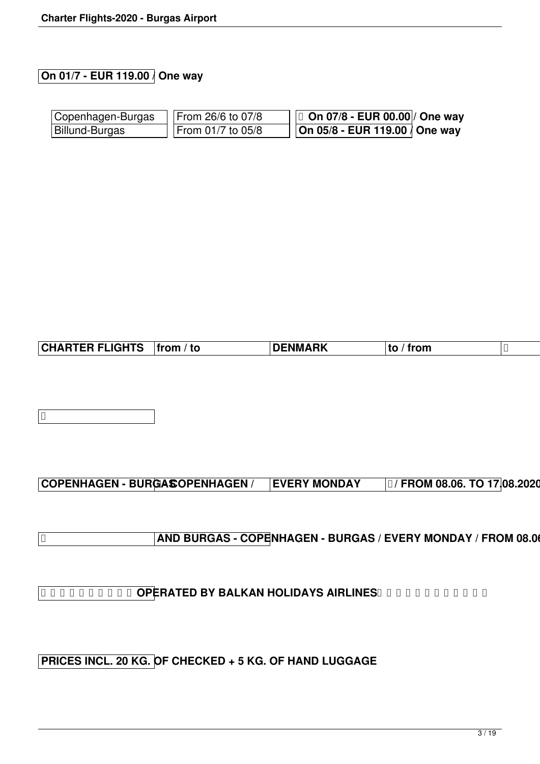### **On 01/7 - EUR 119.00 / One way**

 $\vert$ D

| Copenhagen-Burgas | From 26/6 to 07/8 | $  $ 0 On 07/8 - EUR 00.00 / One way    |  |
|-------------------|-------------------|-----------------------------------------|--|
| Billund-Burgas    | From 01/7 to 05/8 | On 05/8 - EUR 119.00 $\sqrt{ }$ One way |  |

| trom<br>∣to |
|-------------|
|-------------|

## **COPENHAGEN - BURGASOPENHAGEN / EVERY MONDAY | FROM 08.06. TO 17.08.2020**

 **AND BURGAS - COPENHAGEN - BURGAS / EVERY MONDAY / FROM 08.06.** 

**THE BRITT OF THE STRING STREET BY BALKAN HOLIDAYS AIRLINES THE BRITT OF BRITT** 

**PRICES INCL. 20 KG. OF CHECKED + 5 KG. OF HAND LUGGAGE**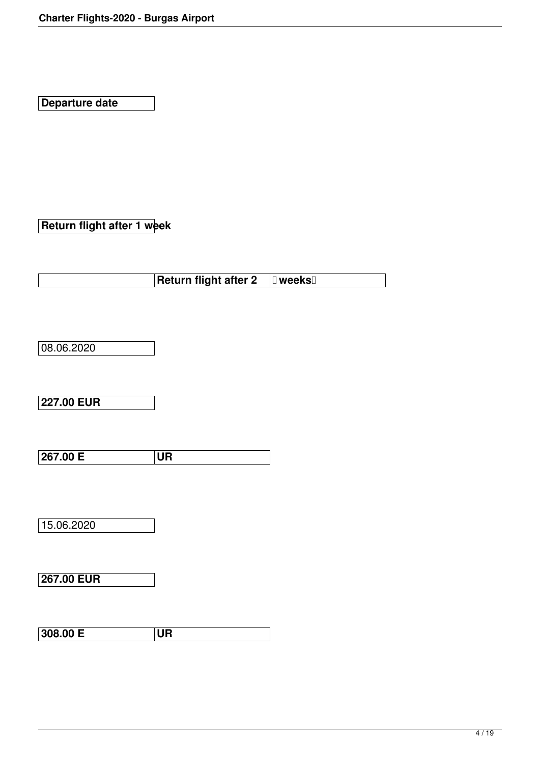**Departure date**

**Return flight after 1 week**

| <b>Return flight after 2   weeks</b> |  |
|--------------------------------------|--|
|                                      |  |

 $08.06.2020$ 

**227.00 EUR**

**267.00 Е UR**

15.06.2020

**267.00 EUR**

**308.00 Е UR**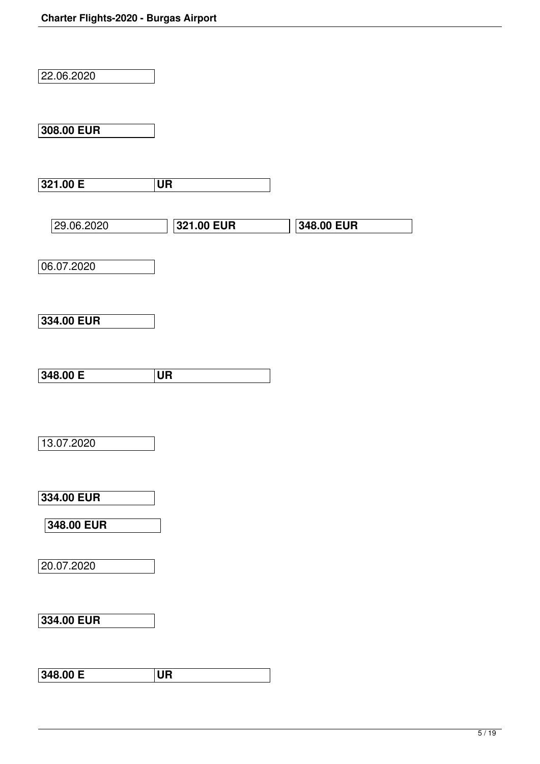| 22.06.2020 |            |            |
|------------|------------|------------|
| 308.00 EUR |            |            |
| 321.00 E   | <b>UR</b>  |            |
| 29.06.2020 | 321.00 EUR | 348.00 EUR |
| 06.07.2020 |            |            |
| 334.00 EUR |            |            |
| 348.00 E   | <b>UR</b>  |            |
| 13.07.2020 |            |            |
| 334.00 EUR |            |            |
| 348.00 EUR |            |            |
| 20.07.2020 |            |            |
| 334.00 EUR |            |            |
| 348.00 E   | <b>UR</b>  |            |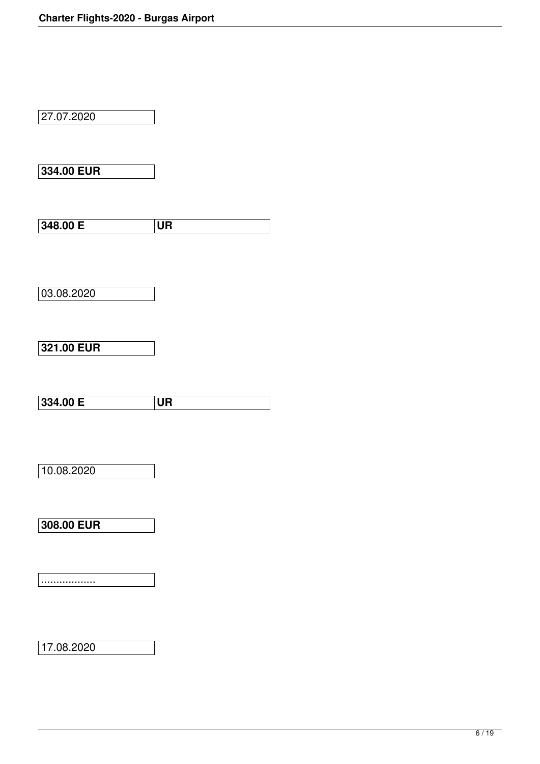27.07.2020 **334.00 EUR 348.00 Е UR** 03.08.2020 **321.00 EUR 334.00 Е UR** 10.08.2020 **308.00 EUR** ..................  $17.08.2020$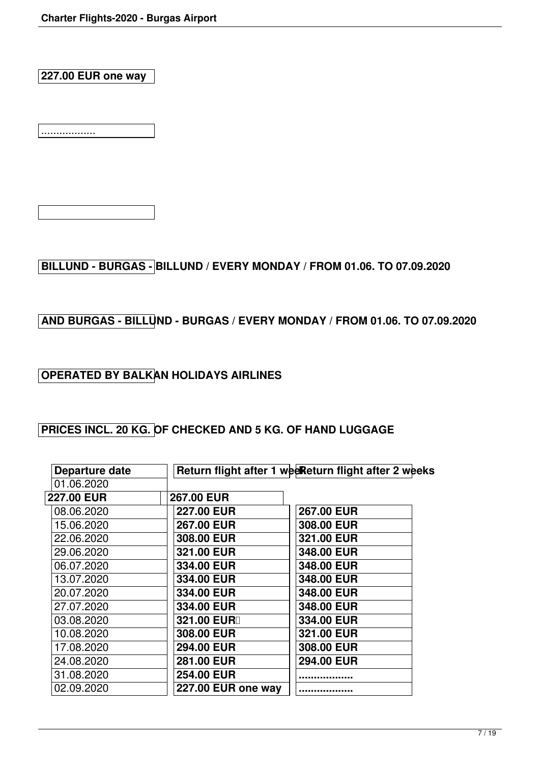**227.00 EUR one way**

..................

**BILLUND - BURGAS - BILLUND / EVERY MONDAY / FROM 01.06. TO 07.09.2020**

#### **AND BURGAS - BILLUND - BURGAS / EVERY MONDAY / FROM 01.06. TO 07.09.2020**

### **OPERATED BY BALKAN HOLIDAYS AIRLINES**

#### **PRICES INCL. 20 KG. OF CHECKED AND 5 KG. OF HAND LUGGAGE**

| Departure date    |                           | Return flight after 1 weeReturn flight after 2 weeks |
|-------------------|---------------------------|------------------------------------------------------|
| 01.06.2020        |                           |                                                      |
| <b>227.00 EUR</b> | 267.00 EUR                |                                                      |
| 08.06.2020        | <b>227.00 EUR</b>         | 267.00 EUR                                           |
| 15.06.2020        | 267.00 EUR                | 308,00 EUR                                           |
| 22.06.2020        | 308,00 EUR                | 321.00 EUR                                           |
| 29.06.2020        | 321.00 EUR                | 348.00 EUR                                           |
| 06.07.2020        | 334.00 EUR                | 348,00 EUR                                           |
| 13.07.2020        | 334.00 EUR                | 348,00 EUR                                           |
| 20.07.2020        | 334.00 EUR                | 348.00 EUR                                           |
| 27.07.2020        | 334.00 EUR                | 348,00 EUR                                           |
| 03.08.2020        | 321.00 EURD               | 334.00 EUR                                           |
| 10.08.2020        | 308.00 EUR                | 321.00 EUR                                           |
| 17.08.2020        | 294.00 EUR                | 308.00 EUR                                           |
| 24.08.2020        | 281.00 EUR                | 294.00 EUR                                           |
| 31.08.2020        | 254.00 EUR                |                                                      |
| 02.09.2020        | <b>227.00 EUR one way</b> |                                                      |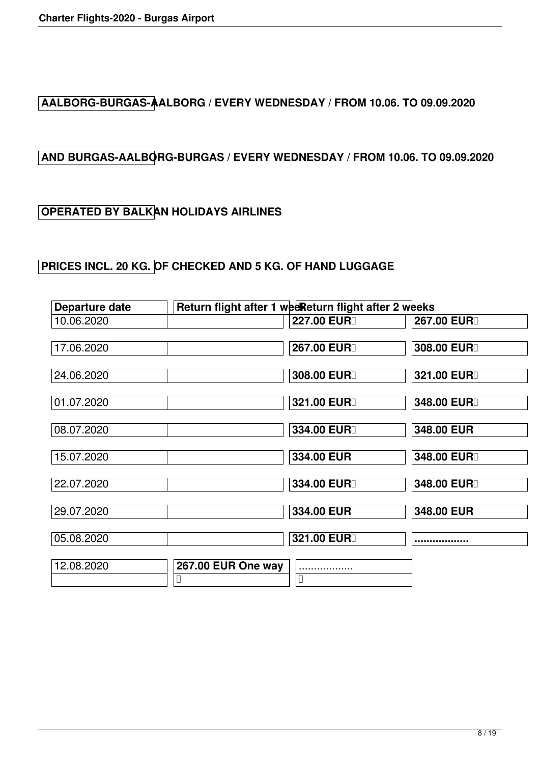**AALBORG-BURGAS-AALBORG / EVERY WEDNESDAY / FROM 10.06. TO 09.09.2020**

### **AND BURGAS-AALBORG-BURGAS / EVERY WEDNESDAY / FROM 10.06. TO 09.09.2020**

#### **OPERATED BY BALKAN HOLIDAYS AIRLINES**

### **PRICES INCL. 20 KG. OF CHECKED AND 5 KG. OF HAND LUGGAGE**

| <b>Departure date</b> | Return flight after 1 weeReturn flight after 2 weeks |             |             |
|-----------------------|------------------------------------------------------|-------------|-------------|
| 10.06.2020            |                                                      | 227.00 EURD | 267.00 EURD |
| 17.06.2020            |                                                      | 267.00 EURD | 308.00 EURD |
| 24.06.2020            |                                                      | 308.00 EURD | 321.00 EURD |
| 01.07.2020            |                                                      | 321.00 EURD | 348.00 EURD |
| 08.07.2020            |                                                      | 334.00 EURD | 348.00 EUR  |
| 15.07.2020            |                                                      | 334.00 EUR  | 348.00 EURD |
| 22.07.2020            |                                                      | 334.00 EURD | 348.00 EURD |
| 29.07.2020            |                                                      | 334.00 EUR  | 348.00 EUR  |
| 05.08.2020            |                                                      | 321.00 EURD |             |
| 12.08.2020            | 267.00 EUR One way                                   |             |             |
|                       |                                                      | $\Box$      |             |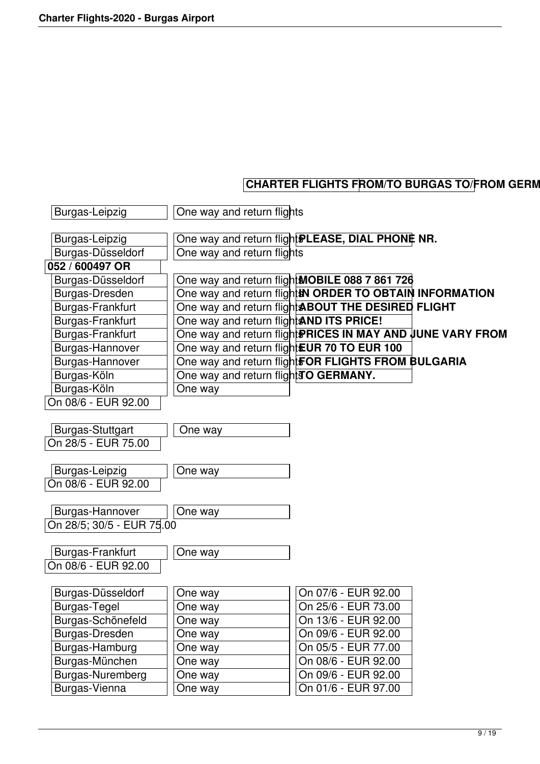# **CHARTER FLIGHTS FROM/TO BURGAS TO/FROM GERM**

| Burgas-Leipzig            | One way and return flights                   |                                                            |  |
|---------------------------|----------------------------------------------|------------------------------------------------------------|--|
|                           |                                              |                                                            |  |
| Burgas-Leipzig            |                                              | One way and return flight PLEASE, DIAL PHONE NR.           |  |
| Burgas-Düsseldorf         | One way and return flights                   |                                                            |  |
| 052 / 600497 OR           |                                              |                                                            |  |
| Burgas-Düsseldorf         |                                              | One way and return flight MOBILE 088 7 861 726             |  |
| Burgas-Dresden            |                                              | One way and return flights ORDER TO OBTAIN INFORMATION     |  |
| Burgas-Frankfurt          |                                              | One way and return flight <b>ABOUT THE DESIRED FLIGHT</b>  |  |
| Burgas-Frankfurt          | One way and return flight AND ITS PRICE!     |                                                            |  |
| Burgas-Frankfurt          |                                              | One way and return flight PRICES IN MAY AND JUNE VARY FROM |  |
| Burgas-Hannover           | One way and return flight EUR 70 TO EUR 100  |                                                            |  |
| Burgas-Hannover           |                                              | One way and return flight FOR FLIGHTS FROM BULGARIA        |  |
| Burgas-Köln               | One way and return flight <b>TO GERMANY.</b> |                                                            |  |
| Burgas-Köln               | One way                                      |                                                            |  |
| On 08/6 - EUR 92.00       |                                              |                                                            |  |
|                           |                                              |                                                            |  |
| Burgas-Stuttgart          | One way                                      |                                                            |  |
| On 28/5 - EUR 75.00       |                                              |                                                            |  |
|                           |                                              |                                                            |  |
| Burgas-Leipzig            | One way                                      |                                                            |  |
| On 08/6 - EUR 92.00       |                                              |                                                            |  |
|                           |                                              |                                                            |  |
| Burgas-Hannover           | One way                                      |                                                            |  |
| On 28/5; 30/5 - EUR 75.00 |                                              |                                                            |  |
|                           |                                              |                                                            |  |
| Burgas-Frankfurt          | One way                                      |                                                            |  |
| On 08/6 - EUR 92.00       |                                              |                                                            |  |
|                           |                                              |                                                            |  |
| Burgas-Düsseldorf         | One way                                      | On 07/6 - EUR 92.00                                        |  |
| <b>Burgas-Tegel</b>       | One way                                      | On 25/6 - EUR 73.00                                        |  |
| Burgas-Schönefeld         | One way                                      | On 13/6 - EUR 92.00                                        |  |
| Burgas-Dresden            | One way                                      | On 09/6 - EUR 92.00                                        |  |
| Burgas-Hamburg            | One way                                      | On 05/5 - EUR 77.00                                        |  |
| Burgas-München            | One way                                      | On 08/6 - EUR 92.00                                        |  |
| Burgas-Nuremberg          | One way                                      | On 09/6 - EUR 92.00                                        |  |
| Burgas-Vienna             | One way                                      | On 01/6 - EUR 97.00                                        |  |
|                           |                                              |                                                            |  |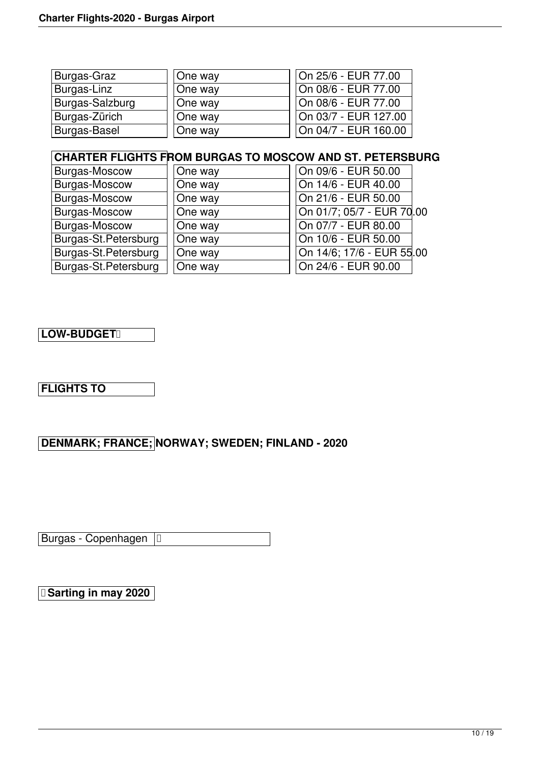| Burgas-Graz     | One way | On 25/6 - EUR 77.00               |
|-----------------|---------|-----------------------------------|
| Burgas-Linz     | One way | On 08/6 - EUR 77.00               |
| Burgas-Salzburg | One way | On 08/6 - EUR 77.00               |
| Burgas-Zürich   | One way | <sup>∣</sup> On 03/7 - EUR 127.00 |
| Burgas-Basel    | One way | On 04/7 - EUR 160.00              |

#### **CHARTER FLIGHTS FROM BURGAS TO MOSCOW AND ST. PETERSBURG**

| Burgas-Moscow        | One way | On 09/6 - EUR 50.00       |
|----------------------|---------|---------------------------|
| Burgas-Moscow        | One way | On 14/6 - EUR 40.00       |
| Burgas-Moscow        | One way | On 21/6 - EUR 50.00       |
| Burgas-Moscow        | One way | On 01/7; 05/7 - EUR 70.00 |
| Burgas-Moscow        | One way | On 07/7 - EUR 80.00       |
| Burgas-St.Petersburg | One way | On 10/6 - EUR 50.00       |
| Burgas-St.Petersburg | One way | On 14/6; 17/6 - EUR 55.00 |
| Burgas-St.Petersburg | One way | On 24/6 - EUR 90.00       |
|                      |         |                           |

#### **LOW-BUDGET**

### **FLIGHTS TO**

#### **DENMARK; FRANCE; NORWAY; SWEDEN; FINLAND - 2020**

Burgas - Copenhagen 

 **Sarting in may 2020**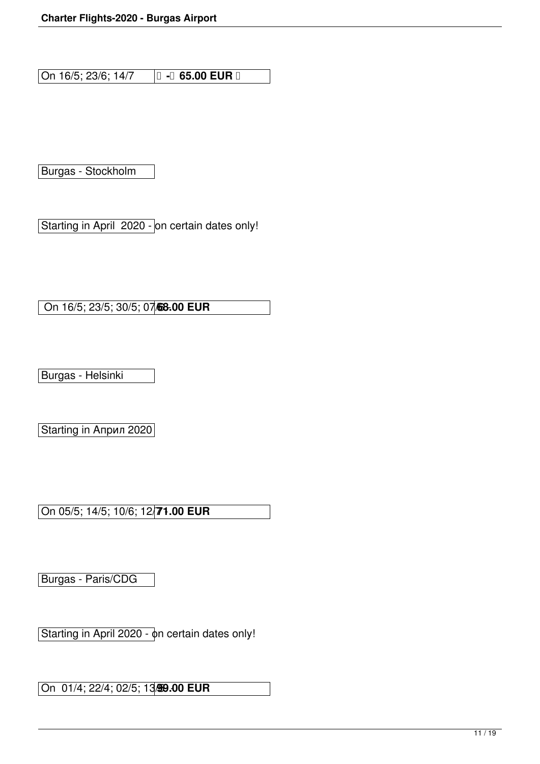On 16/5; 23/6; 14/7  **<b>0** -0 65.00 EUR 0

Burgas - Stockholm

Starting in April 2020 - on certain dates only!

On 16/5; 23/5; 30/5; 0768.00 EUR

Burgas - Helsinki

Starting in Април 2020

On 05/5; 14/5; 10/6; 12**71.00 EUR** 

Burgas - Paris/CDG

Starting in April 2020 - on certain dates only!

On 01/4; 22/4; 02/5; 13,999.00 EUR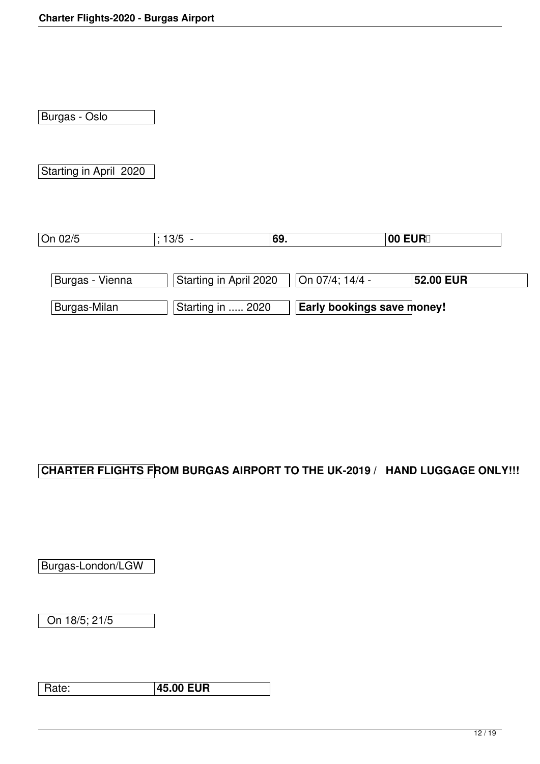Burgas - Oslo

Starting in April 2020

| On 02/5         | $: 13/5 -$             | 69.                               | 100 EURD         |
|-----------------|------------------------|-----------------------------------|------------------|
|                 |                        |                                   |                  |
| Burgas - Vienna | Starting in April 2020 | $ On 07/4; 14/4 -$                | <b>52.00 EUR</b> |
| Burgas-Milan    | Starting in  2020      | <b>Early bookings save money!</b> |                  |

### **CHARTER FLIGHTS FROM BURGAS AIRPORT TO THE UK-2019 / HAND LUGGAGE ONLY!!!**

Burgas-London/LGW

On 18/5; 21/5

Rate: **45.00 EUR**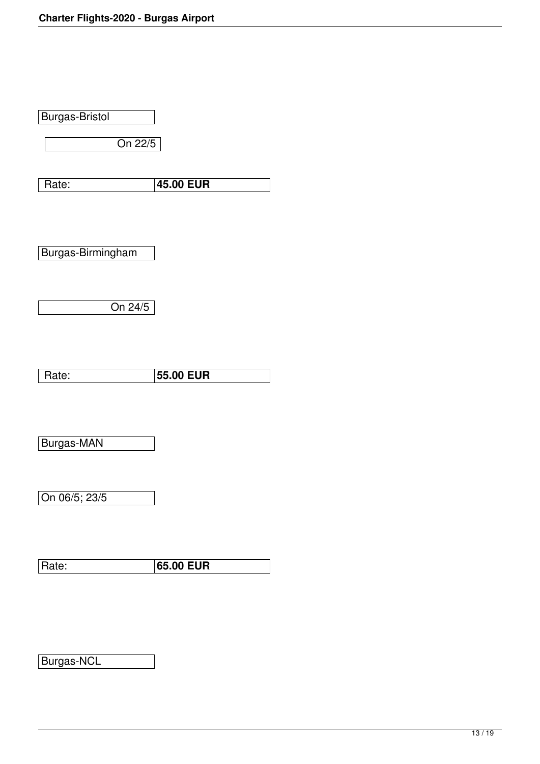| <b>Burgas-Bristol</b> |                  |  |
|-----------------------|------------------|--|
| On 22/5               |                  |  |
| Rate:                 | <b>45.00 EUR</b> |  |
| Burgas-Birmingham     |                  |  |
| On 24/5               |                  |  |
| Rate:                 | <b>55.00 EUR</b> |  |
| Burgas-MAN            |                  |  |
| On 06/5; 23/5         |                  |  |
| Rate:                 | 65.00 EUR        |  |

Burgas-NCL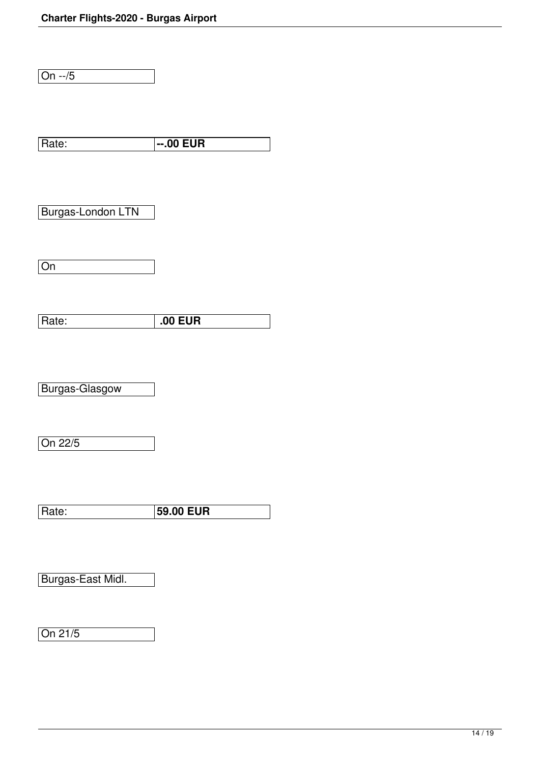On  $-75$ 

| Rate:             | $-0.00$ EUR      |
|-------------------|------------------|
|                   |                  |
|                   |                  |
| Burgas-London LTN |                  |
|                   |                  |
|                   |                  |
| On                |                  |
|                   |                  |
| Rate:             | .00 EUR          |
|                   |                  |
|                   |                  |
| Burgas-Glasgow    |                  |
|                   |                  |
| On 22/5           |                  |
|                   |                  |
|                   |                  |
| Rate:             | <b>59.00 EUR</b> |
|                   |                  |
|                   |                  |
| Burgas-East Midl. |                  |

On 21/5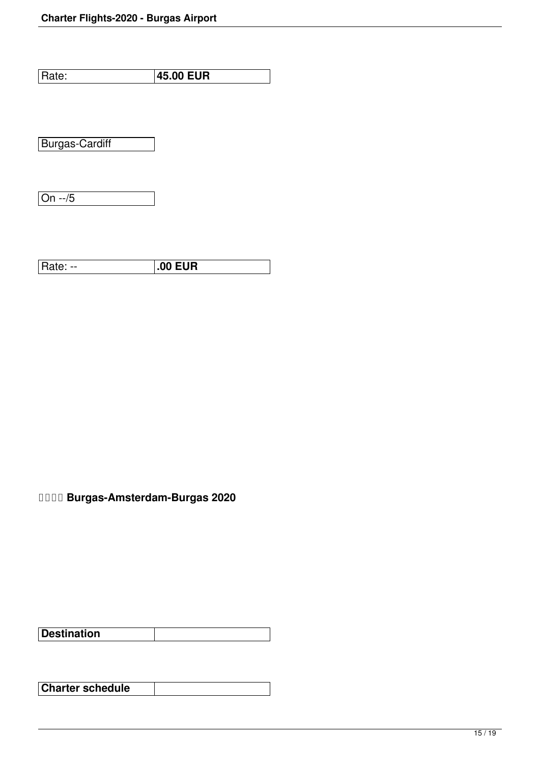Rate: **45.00 EUR**

Burgas-Cardiff

 $\boxed{On -/5}$ 

|--|

 **Burgas-Amsterdam-Burgas 2020**

| <b>Destination</b> |  |
|--------------------|--|

**Charter schedule**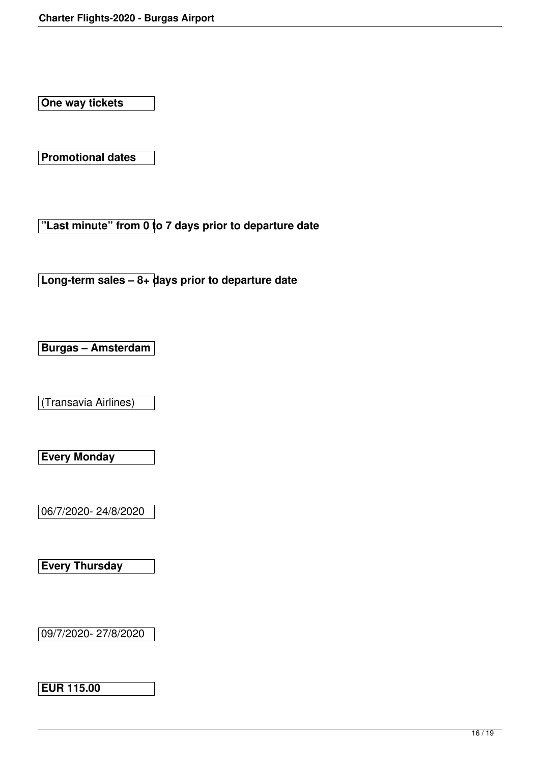**One way tickets**

**Promotional dates**

**"Last minute" from 0 to 7 days prior to departure date**

**Long-term sales – 8+ days prior to departure date** 

**Burgas – Amsterdam**

(Transavia Airlines)

**Every Monday** 

06/7/2020- 24/8/2020

**Every Thursday**

09/7/2020- 27/8/2020

#### **EUR 115.00**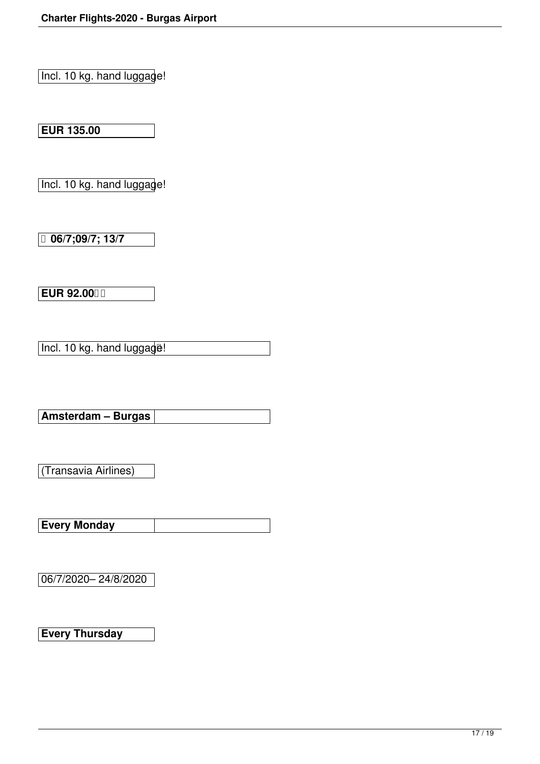Incl. 10 kg. hand luggage!

**EUR 135.00**

Incl. 10 kg. hand luggage!

 **06/7;09/7; 13/7**

**EUR 92.00 I** 

Incl. 10 kg. hand luggage!

**Amsterdam – Burgas**

(Transavia Airlines)

**Every Monday** 

06/7/2020– 24/8/2020

**Every Thursday**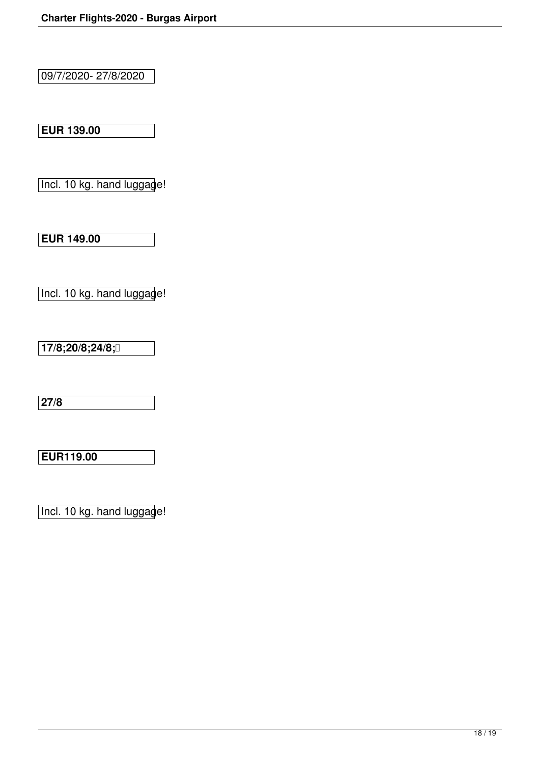09/7/2020- 27/8/2020

**EUR 139.00**

Incl. 10 kg. hand luggage!

**EUR 149.00** 

Incl. 10 kg. hand luggage!

**17/8;20/8;24/8;** 

**27/8**

**EUR119.00**

Incl. 10 kg. hand luggage!